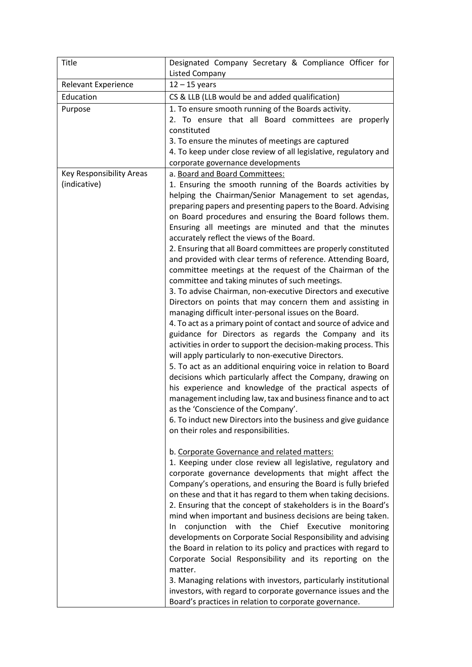| <b>Title</b>                             | Designated Company Secretary & Compliance Officer for                                                                                                                                                                                                                                                                                                                                                                                                                                                                                                                                                                                                                                                                                                                                                                                                                                                                                                                                                                                                                                                                                                                                                                                                                                                                                                                                                                                                                                                                                                                                                                                                                                                                                                                                                                                                                                                                                                                                                                                                                                                                                                                                                                                                                                                                                                                   |
|------------------------------------------|-------------------------------------------------------------------------------------------------------------------------------------------------------------------------------------------------------------------------------------------------------------------------------------------------------------------------------------------------------------------------------------------------------------------------------------------------------------------------------------------------------------------------------------------------------------------------------------------------------------------------------------------------------------------------------------------------------------------------------------------------------------------------------------------------------------------------------------------------------------------------------------------------------------------------------------------------------------------------------------------------------------------------------------------------------------------------------------------------------------------------------------------------------------------------------------------------------------------------------------------------------------------------------------------------------------------------------------------------------------------------------------------------------------------------------------------------------------------------------------------------------------------------------------------------------------------------------------------------------------------------------------------------------------------------------------------------------------------------------------------------------------------------------------------------------------------------------------------------------------------------------------------------------------------------------------------------------------------------------------------------------------------------------------------------------------------------------------------------------------------------------------------------------------------------------------------------------------------------------------------------------------------------------------------------------------------------------------------------------------------------|
|                                          | <b>Listed Company</b>                                                                                                                                                                                                                                                                                                                                                                                                                                                                                                                                                                                                                                                                                                                                                                                                                                                                                                                                                                                                                                                                                                                                                                                                                                                                                                                                                                                                                                                                                                                                                                                                                                                                                                                                                                                                                                                                                                                                                                                                                                                                                                                                                                                                                                                                                                                                                   |
| <b>Relevant Experience</b>               | $12 - 15$ years                                                                                                                                                                                                                                                                                                                                                                                                                                                                                                                                                                                                                                                                                                                                                                                                                                                                                                                                                                                                                                                                                                                                                                                                                                                                                                                                                                                                                                                                                                                                                                                                                                                                                                                                                                                                                                                                                                                                                                                                                                                                                                                                                                                                                                                                                                                                                         |
| Education                                | CS & LLB (LLB would be and added qualification)                                                                                                                                                                                                                                                                                                                                                                                                                                                                                                                                                                                                                                                                                                                                                                                                                                                                                                                                                                                                                                                                                                                                                                                                                                                                                                                                                                                                                                                                                                                                                                                                                                                                                                                                                                                                                                                                                                                                                                                                                                                                                                                                                                                                                                                                                                                         |
| Purpose                                  | 1. To ensure smooth running of the Boards activity.<br>2. To ensure that all Board committees are<br>properly<br>constituted<br>3. To ensure the minutes of meetings are captured<br>4. To keep under close review of all legislative, regulatory and<br>corporate governance developments                                                                                                                                                                                                                                                                                                                                                                                                                                                                                                                                                                                                                                                                                                                                                                                                                                                                                                                                                                                                                                                                                                                                                                                                                                                                                                                                                                                                                                                                                                                                                                                                                                                                                                                                                                                                                                                                                                                                                                                                                                                                              |
| Key Responsibility Areas<br>(indicative) | a. Board and Board Committees:<br>1. Ensuring the smooth running of the Boards activities by<br>helping the Chairman/Senior Management to set agendas,<br>preparing papers and presenting papers to the Board. Advising<br>on Board procedures and ensuring the Board follows them.<br>Ensuring all meetings are minuted and that the minutes<br>accurately reflect the views of the Board.<br>2. Ensuring that all Board committees are properly constituted<br>and provided with clear terms of reference. Attending Board,<br>committee meetings at the request of the Chairman of the<br>committee and taking minutes of such meetings.<br>3. To advise Chairman, non-executive Directors and executive<br>Directors on points that may concern them and assisting in<br>managing difficult inter-personal issues on the Board.<br>4. To act as a primary point of contact and source of advice and<br>guidance for Directors as regards the Company and its<br>activities in order to support the decision-making process. This<br>will apply particularly to non-executive Directors.<br>5. To act as an additional enquiring voice in relation to Board<br>decisions which particularly affect the Company, drawing on<br>his experience and knowledge of the practical aspects of<br>management including law, tax and business finance and to act<br>as the 'Conscience of the Company'.<br>6. To induct new Directors into the business and give guidance<br>on their roles and responsibilities.<br>b. Corporate Governance and related matters:<br>1. Keeping under close review all legislative, regulatory and<br>corporate governance developments that might affect the<br>Company's operations, and ensuring the Board is fully briefed<br>on these and that it has regard to them when taking decisions.<br>2. Ensuring that the concept of stakeholders is in the Board's<br>mind when important and business decisions are being taken.<br>conjunction with the Chief Executive<br>monitoring<br>In<br>developments on Corporate Social Responsibility and advising<br>the Board in relation to its policy and practices with regard to<br>Corporate Social Responsibility and its reporting on the<br>matter.<br>3. Managing relations with investors, particularly institutional<br>investors, with regard to corporate governance issues and the |
|                                          | Board's practices in relation to corporate governance.                                                                                                                                                                                                                                                                                                                                                                                                                                                                                                                                                                                                                                                                                                                                                                                                                                                                                                                                                                                                                                                                                                                                                                                                                                                                                                                                                                                                                                                                                                                                                                                                                                                                                                                                                                                                                                                                                                                                                                                                                                                                                                                                                                                                                                                                                                                  |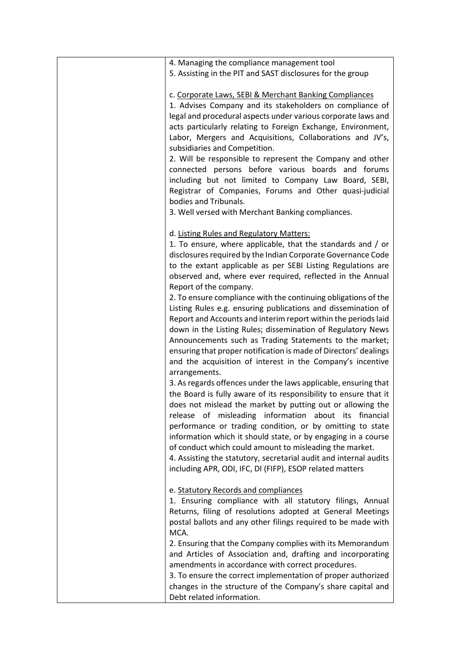| 4. Managing the compliance management tool<br>5. Assisting in the PIT and SAST disclosures for the group                                                                                                                                                                                                                                                                                                                                                                                                                                                                                                                                                               |
|------------------------------------------------------------------------------------------------------------------------------------------------------------------------------------------------------------------------------------------------------------------------------------------------------------------------------------------------------------------------------------------------------------------------------------------------------------------------------------------------------------------------------------------------------------------------------------------------------------------------------------------------------------------------|
| c. Corporate Laws, SEBI & Merchant Banking Compliances<br>1. Advises Company and its stakeholders on compliance of<br>legal and procedural aspects under various corporate laws and<br>acts particularly relating to Foreign Exchange, Environment,<br>Labor, Mergers and Acquisitions, Collaborations and JV's,<br>subsidiaries and Competition.<br>2. Will be responsible to represent the Company and other<br>connected persons before various boards and forums<br>including but not limited to Company Law Board, SEBI,<br>Registrar of Companies, Forums and Other quasi-judicial<br>bodies and Tribunals.<br>3. Well versed with Merchant Banking compliances. |
| d. Listing Rules and Regulatory Matters:<br>1. To ensure, where applicable, that the standards and / or<br>disclosures required by the Indian Corporate Governance Code<br>to the extant applicable as per SEBI Listing Regulations are<br>observed and, where ever required, reflected in the Annual                                                                                                                                                                                                                                                                                                                                                                  |
| Report of the company.<br>2. To ensure compliance with the continuing obligations of the<br>Listing Rules e.g. ensuring publications and dissemination of<br>Report and Accounts and interim report within the periods laid<br>down in the Listing Rules; dissemination of Regulatory News                                                                                                                                                                                                                                                                                                                                                                             |
| Announcements such as Trading Statements to the market;<br>ensuring that proper notification is made of Directors' dealings<br>and the acquisition of interest in the Company's incentive<br>arrangements.                                                                                                                                                                                                                                                                                                                                                                                                                                                             |
| 3. As regards offences under the laws applicable, ensuring that<br>the Board is fully aware of its responsibility to ensure that it<br>does not mislead the market by putting out or allowing the<br>release of misleading information about its financial<br>performance or trading condition, or by omitting to state<br>information which it should state, or by engaging in a course<br>of conduct which could amount to misleading the market.<br>4. Assisting the statutory, secretarial audit and internal audits<br>including APR, ODI, IFC, DI (FIFP), ESOP related matters                                                                                   |
| e. Statutory Records and compliances<br>1. Ensuring compliance with all statutory filings, Annual<br>Returns, filing of resolutions adopted at General Meetings<br>postal ballots and any other filings required to be made with                                                                                                                                                                                                                                                                                                                                                                                                                                       |
| MCA.<br>2. Ensuring that the Company complies with its Memorandum<br>and Articles of Association and, drafting and incorporating<br>amendments in accordance with correct procedures.<br>3. To ensure the correct implementation of proper authorized<br>changes in the structure of the Company's share capital and<br>Debt related information.                                                                                                                                                                                                                                                                                                                      |